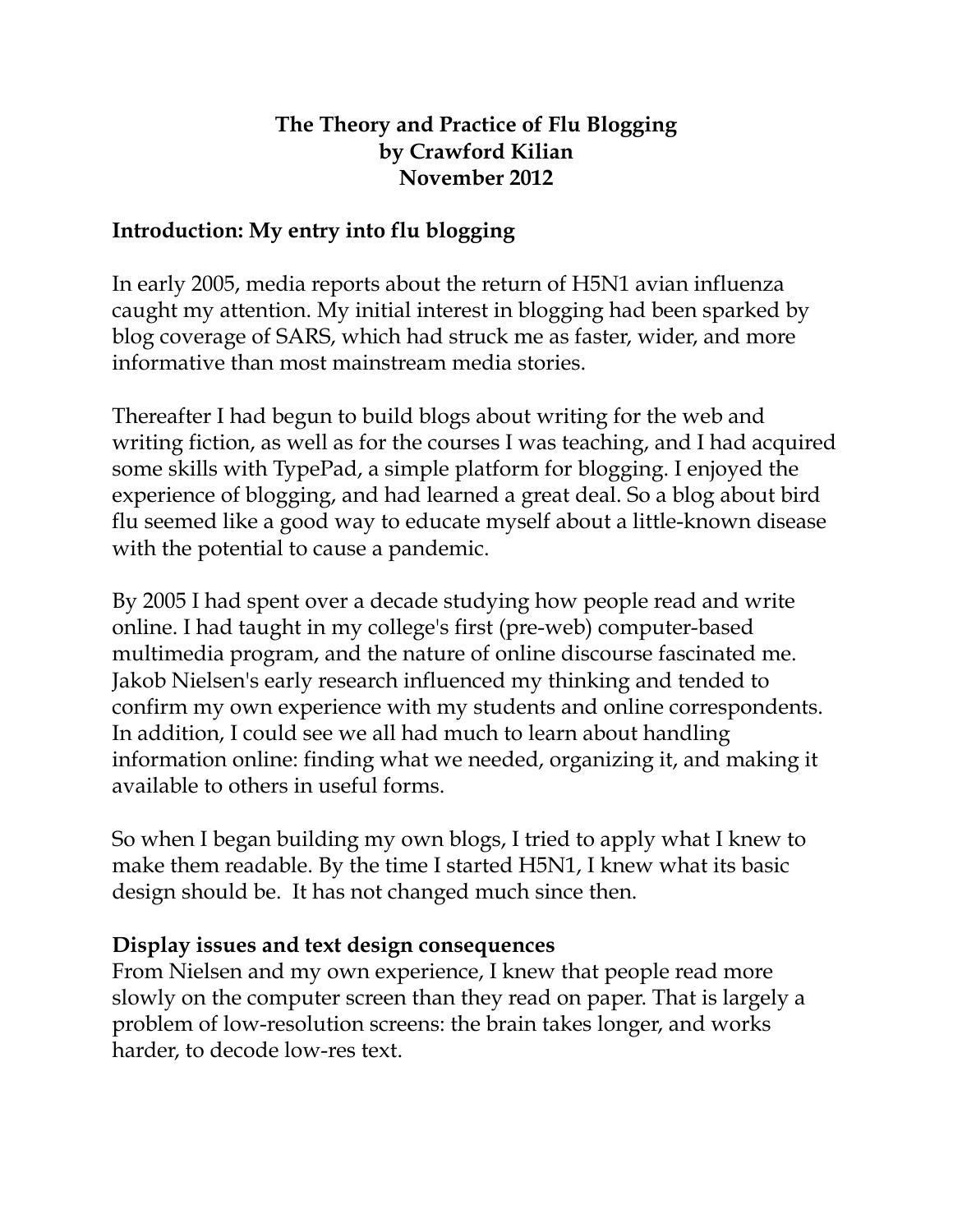### **The Theory and Practice of Flu Blogging by Crawford Kilian November 2012**

# **Introduction: My entry into flu blogging**

In early 2005, media reports about the return of H5N1 avian influenza caught my attention. My initial interest in blogging had been sparked by blog coverage of SARS, which had struck me as faster, wider, and more informative than most mainstream media stories.

Thereafter I had begun to build blogs about writing for the web and writing fiction, as well as for the courses I was teaching, and I had acquired some skills with TypePad, a simple platform for blogging. I enjoyed the experience of blogging, and had learned a great deal. So a blog about bird flu seemed like a good way to educate myself about a little-known disease with the potential to cause a pandemic.

By 2005 I had spent over a decade studying how people read and write online. I had taught in my college's first (pre-web) computer-based multimedia program, and the nature of online discourse fascinated me. Jakob Nielsen's early research influenced my thinking and tended to confirm my own experience with my students and online correspondents. In addition, I could see we all had much to learn about handling information online: finding what we needed, organizing it, and making it available to others in useful forms.

So when I began building my own blogs, I tried to apply what I knew to make them readable. By the time I started H5N1, I knew what its basic design should be. It has not changed much since then.

#### **Display issues and text design consequences**

From Nielsen and my own experience, I knew that people read more slowly on the computer screen than they read on paper. That is largely a problem of low-resolution screens: the brain takes longer, and works harder, to decode low-res text.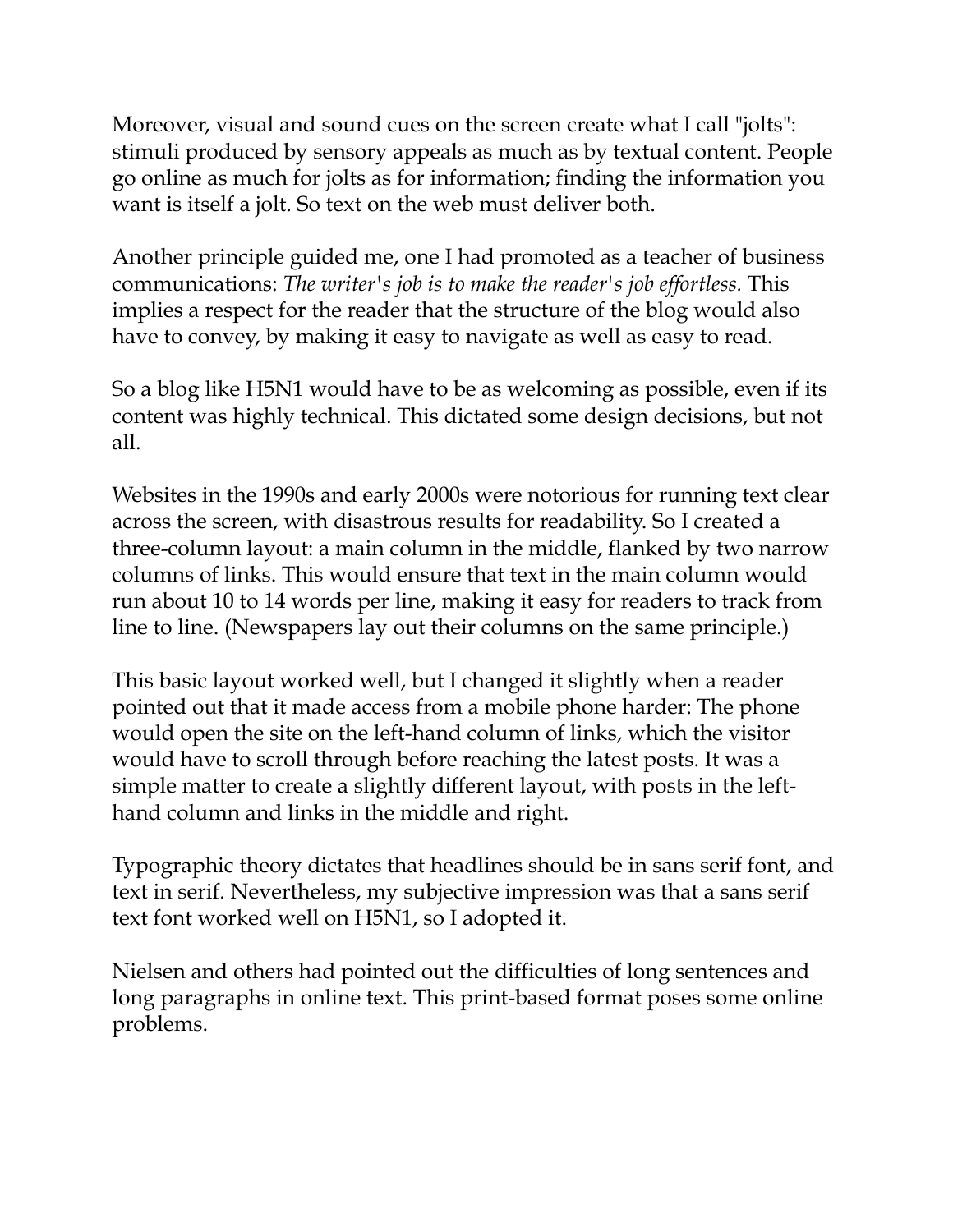Moreover, visual and sound cues on the screen create what I call "jolts": stimuli produced by sensory appeals as much as by textual content. People go online as much for jolts as for information; finding the information you want is itself a jolt. So text on the web must deliver both.

Another principle guided me, one I had promoted as a teacher of business communications: *The writer's job is to make the reader's job effortless.* This implies a respect for the reader that the structure of the blog would also have to convey, by making it easy to navigate as well as easy to read.

So a blog like H5N1 would have to be as welcoming as possible, even if its content was highly technical. This dictated some design decisions, but not all.

Websites in the 1990s and early 2000s were notorious for running text clear across the screen, with disastrous results for readability. So I created a three-column layout: a main column in the middle, flanked by two narrow columns of links. This would ensure that text in the main column would run about 10 to 14 words per line, making it easy for readers to track from line to line. (Newspapers lay out their columns on the same principle.)

This basic layout worked well, but I changed it slightly when a reader pointed out that it made access from a mobile phone harder: The phone would open the site on the left-hand column of links, which the visitor would have to scroll through before reaching the latest posts. It was a simple matter to create a slightly different layout, with posts in the lefthand column and links in the middle and right.

Typographic theory dictates that headlines should be in sans serif font, and text in serif. Nevertheless, my subjective impression was that a sans serif text font worked well on H5N1, so I adopted it.

Nielsen and others had pointed out the difficulties of long sentences and long paragraphs in online text. This print-based format poses some online problems.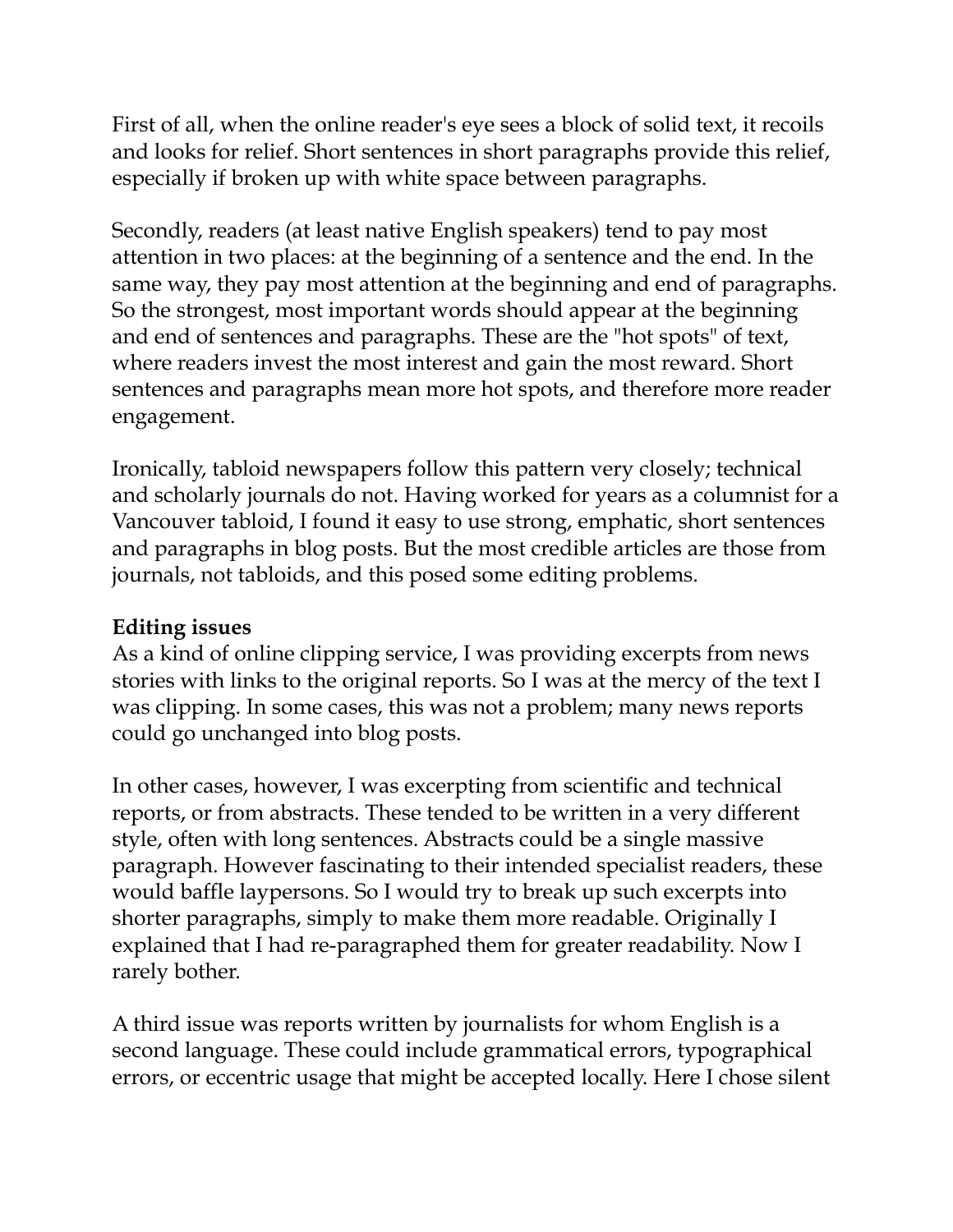First of all, when the online reader's eye sees a block of solid text, it recoils and looks for relief. Short sentences in short paragraphs provide this relief, especially if broken up with white space between paragraphs.

Secondly, readers (at least native English speakers) tend to pay most attention in two places: at the beginning of a sentence and the end. In the same way, they pay most attention at the beginning and end of paragraphs. So the strongest, most important words should appear at the beginning and end of sentences and paragraphs. These are the "hot spots" of text, where readers invest the most interest and gain the most reward. Short sentences and paragraphs mean more hot spots, and therefore more reader engagement.

Ironically, tabloid newspapers follow this pattern very closely; technical and scholarly journals do not. Having worked for years as a columnist for a Vancouver tabloid, I found it easy to use strong, emphatic, short sentences and paragraphs in blog posts. But the most credible articles are those from journals, not tabloids, and this posed some editing problems.

### **Editing issues**

As a kind of online clipping service, I was providing excerpts from news stories with links to the original reports. So I was at the mercy of the text I was clipping. In some cases, this was not a problem; many news reports could go unchanged into blog posts.

In other cases, however, I was excerpting from scientific and technical reports, or from abstracts. These tended to be written in a very different style, often with long sentences. Abstracts could be a single massive paragraph. However fascinating to their intended specialist readers, these would baffle laypersons. So I would try to break up such excerpts into shorter paragraphs, simply to make them more readable. Originally I explained that I had re-paragraphed them for greater readability. Now I rarely bother.

A third issue was reports written by journalists for whom English is a second language. These could include grammatical errors, typographical errors, or eccentric usage that might be accepted locally. Here I chose silent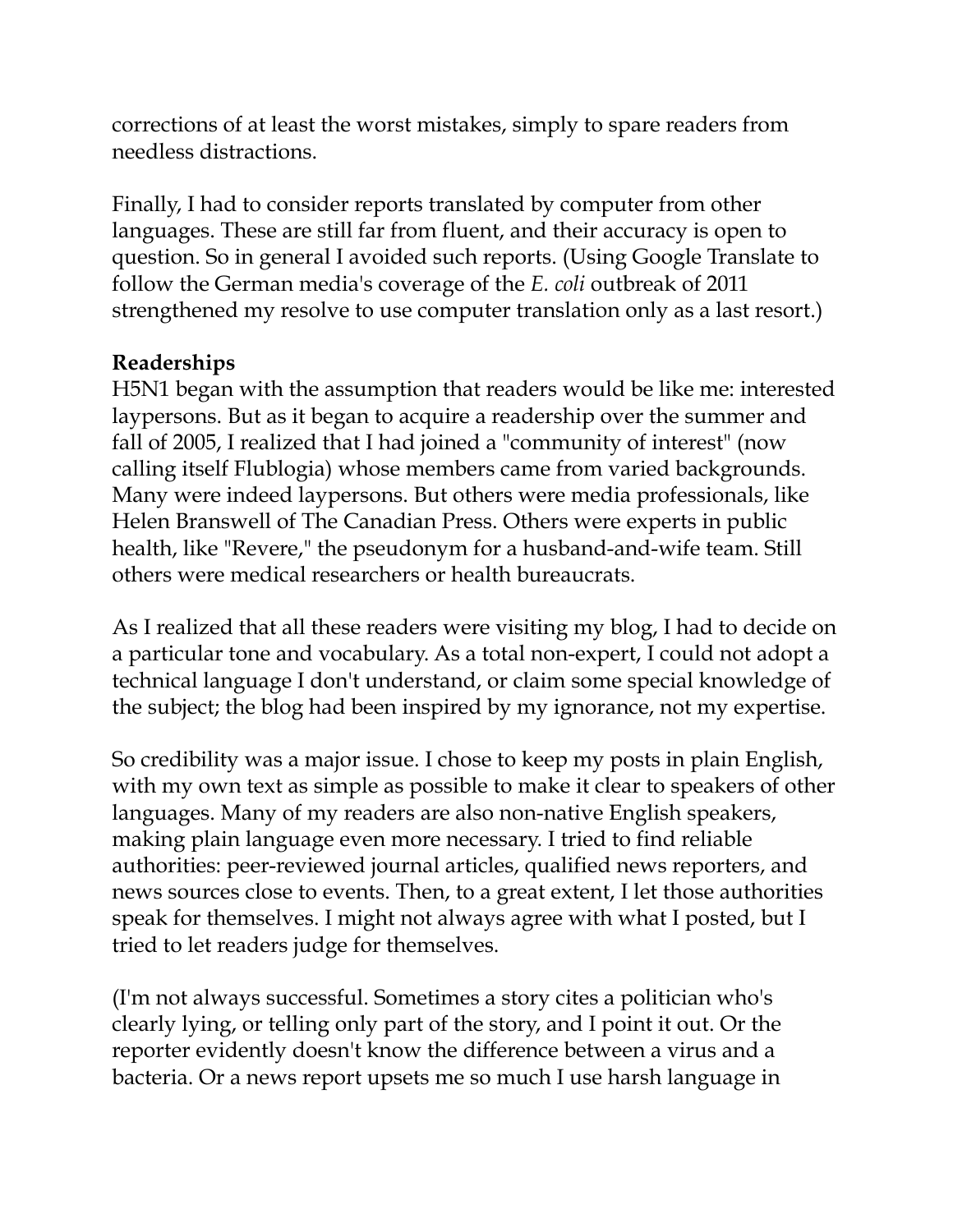corrections of at least the worst mistakes, simply to spare readers from needless distractions.

Finally, I had to consider reports translated by computer from other languages. These are still far from fluent, and their accuracy is open to question. So in general I avoided such reports. (Using Google Translate to follow the German media's coverage of the *E. coli* outbreak of 2011 strengthened my resolve to use computer translation only as a last resort.)

# **Readerships**

H5N1 began with the assumption that readers would be like me: interested laypersons. But as it began to acquire a readership over the summer and fall of 2005, I realized that I had joined a "community of interest" (now calling itself Flublogia) whose members came from varied backgrounds. Many were indeed laypersons. But others were media professionals, like Helen Branswell of The Canadian Press. Others were experts in public health, like "Revere," the pseudonym for a husband-and-wife team. Still others were medical researchers or health bureaucrats.

As I realized that all these readers were visiting my blog, I had to decide on a particular tone and vocabulary. As a total non-expert, I could not adopt a technical language I don't understand, or claim some special knowledge of the subject; the blog had been inspired by my ignorance, not my expertise.

So credibility was a major issue. I chose to keep my posts in plain English, with my own text as simple as possible to make it clear to speakers of other languages. Many of my readers are also non-native English speakers, making plain language even more necessary. I tried to find reliable authorities: peer-reviewed journal articles, qualified news reporters, and news sources close to events. Then, to a great extent, I let those authorities speak for themselves. I might not always agree with what I posted, but I tried to let readers judge for themselves.

(I'm not always successful. Sometimes a story cites a politician who's clearly lying, or telling only part of the story, and I point it out. Or the reporter evidently doesn't know the difference between a virus and a bacteria. Or a news report upsets me so much I use harsh language in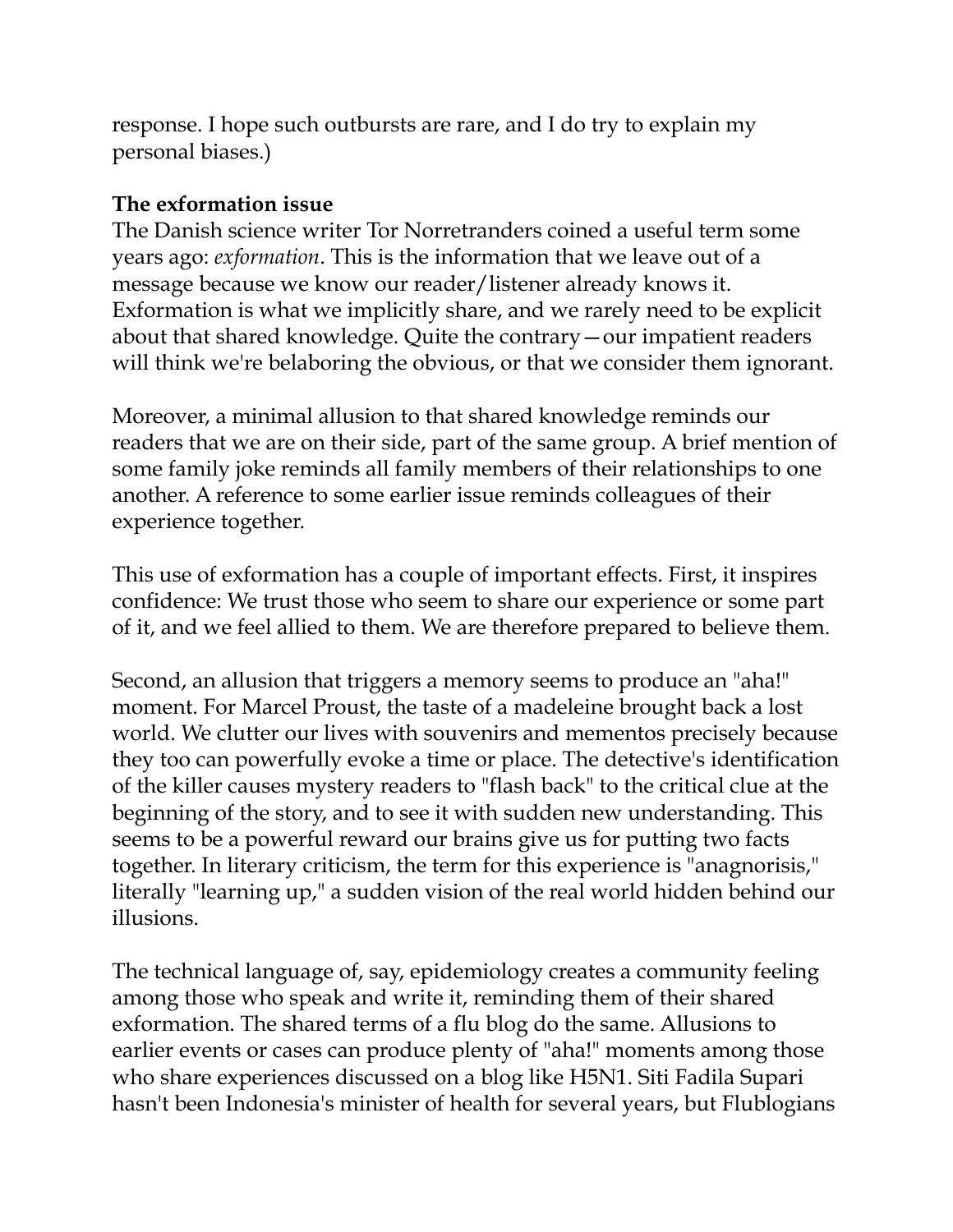response. I hope such outbursts are rare, and I do try to explain my personal biases.)

### **The exformation issue**

The Danish science writer Tor Norretranders coined a useful term some years ago: *exformation*. This is the information that we leave out of a message because we know our reader/listener already knows it. Exformation is what we implicitly share, and we rarely need to be explicit about that shared knowledge. Quite the contrary—our impatient readers will think we're belaboring the obvious, or that we consider them ignorant.

Moreover, a minimal allusion to that shared knowledge reminds our readers that we are on their side, part of the same group. A brief mention of some family joke reminds all family members of their relationships to one another. A reference to some earlier issue reminds colleagues of their experience together.

This use of exformation has a couple of important effects. First, it inspires confidence: We trust those who seem to share our experience or some part of it, and we feel allied to them. We are therefore prepared to believe them.

Second, an allusion that triggers a memory seems to produce an "aha!" moment. For Marcel Proust, the taste of a madeleine brought back a lost world. We clutter our lives with souvenirs and mementos precisely because they too can powerfully evoke a time or place. The detective's identification of the killer causes mystery readers to "flash back" to the critical clue at the beginning of the story, and to see it with sudden new understanding. This seems to be a powerful reward our brains give us for putting two facts together. In literary criticism, the term for this experience is "anagnorisis," literally "learning up," a sudden vision of the real world hidden behind our illusions.

The technical language of, say, epidemiology creates a community feeling among those who speak and write it, reminding them of their shared exformation. The shared terms of a flu blog do the same. Allusions to earlier events or cases can produce plenty of "aha!" moments among those who share experiences discussed on a blog like H5N1. Siti Fadila Supari hasn't been Indonesia's minister of health for several years, but Flublogians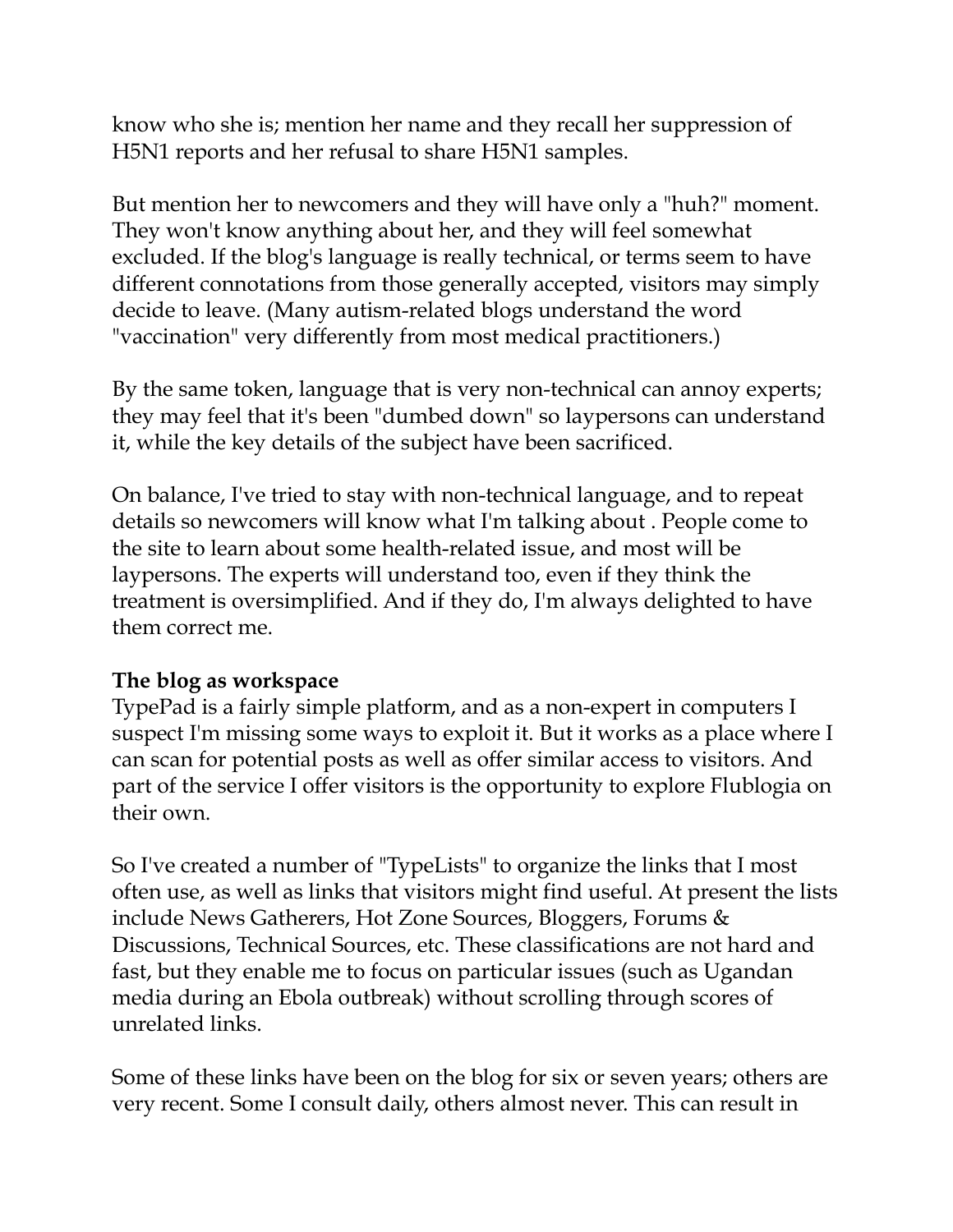know who she is; mention her name and they recall her suppression of H5N1 reports and her refusal to share H5N1 samples.

But mention her to newcomers and they will have only a "huh?" moment. They won't know anything about her, and they will feel somewhat excluded. If the blog's language is really technical, or terms seem to have different connotations from those generally accepted, visitors may simply decide to leave. (Many autism-related blogs understand the word "vaccination" very differently from most medical practitioners.)

By the same token, language that is very non-technical can annoy experts; they may feel that it's been "dumbed down" so laypersons can understand it, while the key details of the subject have been sacrificed.

On balance, I've tried to stay with non-technical language, and to repeat details so newcomers will know what I'm talking about . People come to the site to learn about some health-related issue, and most will be laypersons. The experts will understand too, even if they think the treatment is oversimplified. And if they do, I'm always delighted to have them correct me.

# **The blog as workspace**

TypePad is a fairly simple platform, and as a non-expert in computers I suspect I'm missing some ways to exploit it. But it works as a place where I can scan for potential posts as well as offer similar access to visitors. And part of the service I offer visitors is the opportunity to explore Flublogia on their own.

So I've created a number of "TypeLists" to organize the links that I most often use, as well as links that visitors might find useful. At present the lists include News Gatherers, Hot Zone Sources, Bloggers, Forums & Discussions, Technical Sources, etc. These classifications are not hard and fast, but they enable me to focus on particular issues (such as Ugandan media during an Ebola outbreak) without scrolling through scores of unrelated links.

Some of these links have been on the blog for six or seven years; others are very recent. Some I consult daily, others almost never. This can result in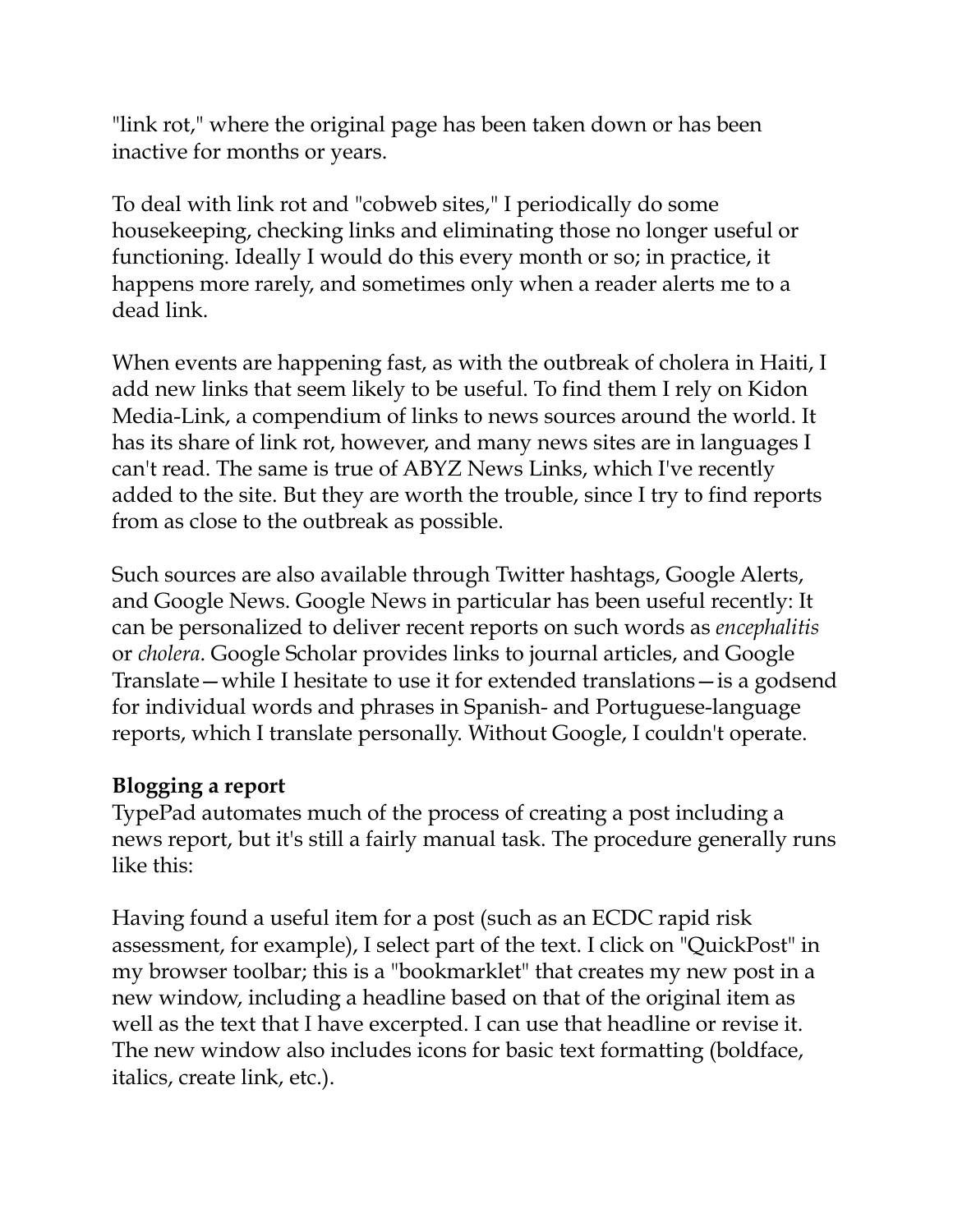"link rot," where the original page has been taken down or has been inactive for months or years.

To deal with link rot and "cobweb sites," I periodically do some housekeeping, checking links and eliminating those no longer useful or functioning. Ideally I would do this every month or so; in practice, it happens more rarely, and sometimes only when a reader alerts me to a dead link.

When events are happening fast, as with the outbreak of cholera in Haiti, I add new links that seem likely to be useful. To find them I rely on Kidon Media-Link, a compendium of links to news sources around the world. It has its share of link rot, however, and many news sites are in languages I can't read. The same is true of ABYZ News Links, which I've recently added to the site. But they are worth the trouble, since I try to find reports from as close to the outbreak as possible.

Such sources are also available through Twitter hashtags, Google Alerts, and Google News. Google News in particular has been useful recently: It can be personalized to deliver recent reports on such words as *encephalitis* or *cholera*. Google Scholar provides links to journal articles, and Google Translate—while I hesitate to use it for extended translations—is a godsend for individual words and phrases in Spanish- and Portuguese-language reports, which I translate personally. Without Google, I couldn't operate.

#### **Blogging a report**

TypePad automates much of the process of creating a post including a news report, but it's still a fairly manual task. The procedure generally runs like this:

Having found a useful item for a post (such as an ECDC rapid risk assessment, for example), I select part of the text. I click on "QuickPost" in my browser toolbar; this is a "bookmarklet" that creates my new post in a new window, including a headline based on that of the original item as well as the text that I have excerpted. I can use that headline or revise it. The new window also includes icons for basic text formatting (boldface, italics, create link, etc.).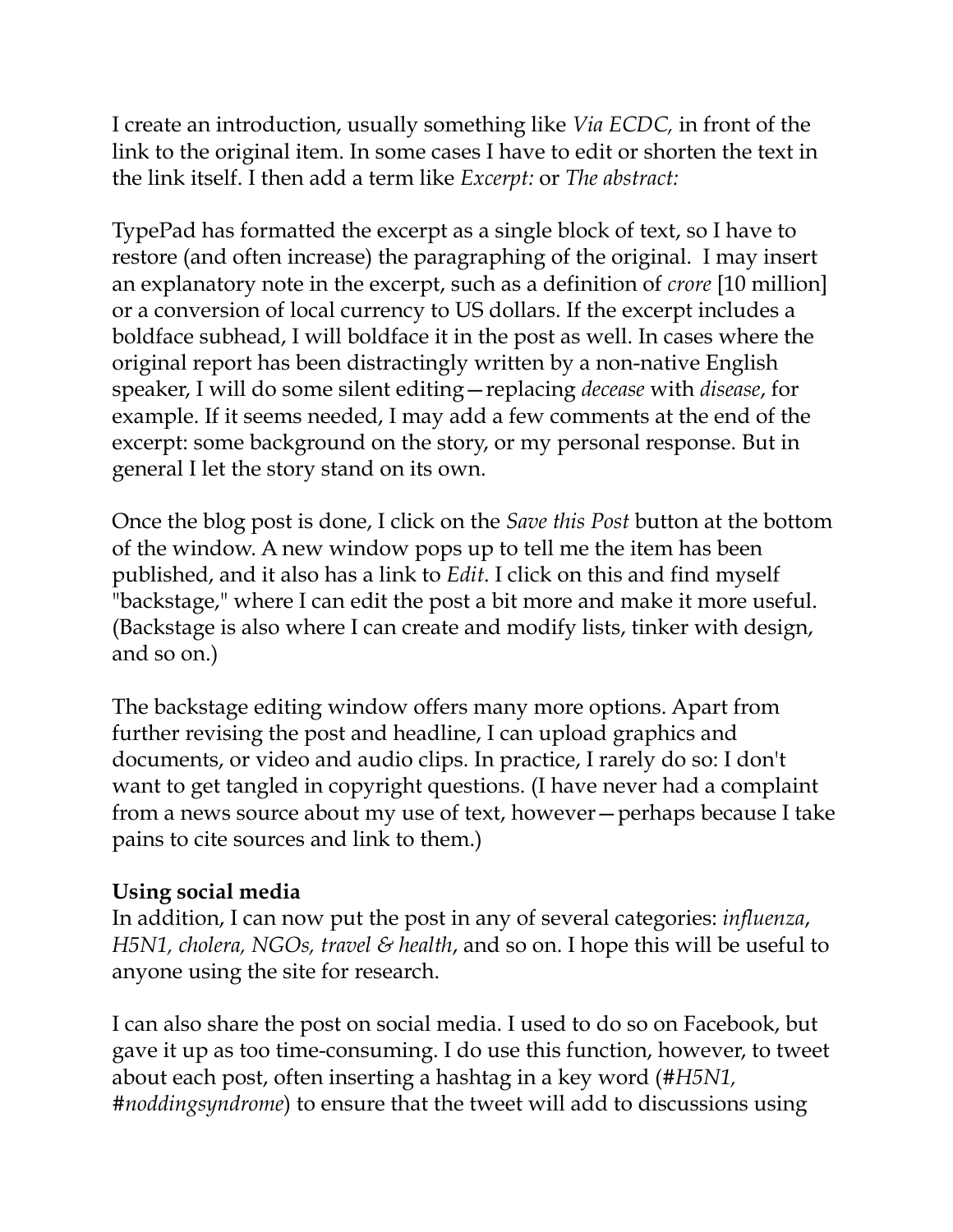I create an introduction, usually something like *Via ECDC,* in front of the link to the original item. In some cases I have to edit or shorten the text in the link itself. I then add a term like *Excerpt:* or *The abstract:*

TypePad has formatted the excerpt as a single block of text, so I have to restore (and often increase) the paragraphing of the original. I may insert an explanatory note in the excerpt, such as a definition of *crore* [10 million] or a conversion of local currency to US dollars. If the excerpt includes a boldface subhead, I will boldface it in the post as well. In cases where the original report has been distractingly written by a non-native English speaker, I will do some silent editing—replacing *decease* with *disease*, for example. If it seems needed, I may add a few comments at the end of the excerpt: some background on the story, or my personal response. But in general I let the story stand on its own.

Once the blog post is done, I click on the *Save this Post* button at the bottom of the window. A new window pops up to tell me the item has been published, and it also has a link to *Edit*. I click on this and find myself "backstage," where I can edit the post a bit more and make it more useful. (Backstage is also where I can create and modify lists, tinker with design, and so on.)

The backstage editing window offers many more options. Apart from further revising the post and headline, I can upload graphics and documents, or video and audio clips. In practice, I rarely do so: I don't want to get tangled in copyright questions. (I have never had a complaint from a news source about my use of text, however—perhaps because I take pains to cite sources and link to them.)

# **Using social media**

In addition, I can now put the post in any of several categories: *influenza*, *H5N1, cholera, NGOs, travel & health*, and so on. I hope this will be useful to anyone using the site for research.

I can also share the post on social media. I used to do so on Facebook, but gave it up as too time-consuming. I do use this function, however, to tweet about each post, often inserting a hashtag in a key word (*#H5N1, #noddingsyndrome*) to ensure that the tweet will add to discussions using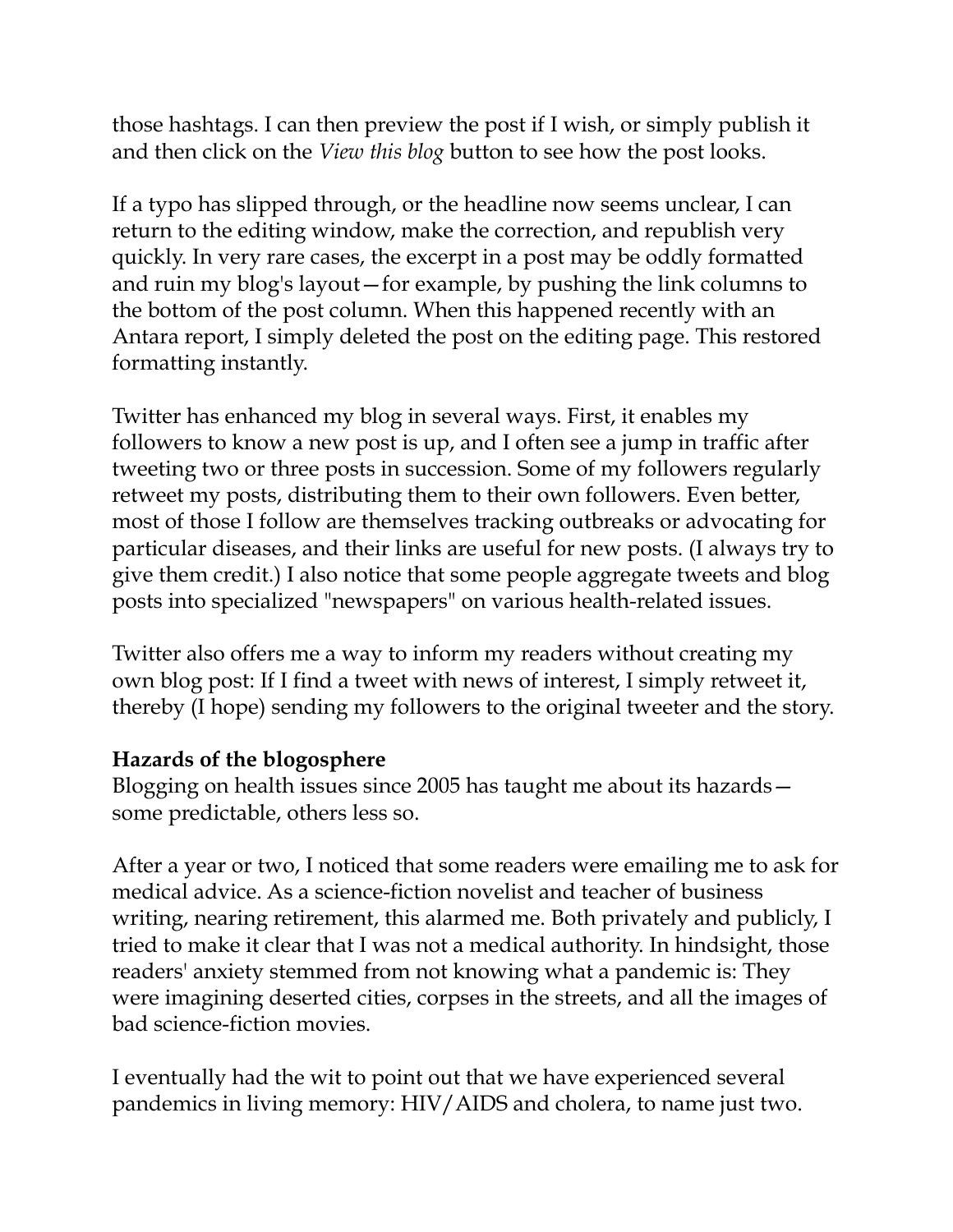those hashtags. I can then preview the post if I wish, or simply publish it and then click on the *View this blog* button to see how the post looks.

If a typo has slipped through, or the headline now seems unclear, I can return to the editing window, make the correction, and republish very quickly. In very rare cases, the excerpt in a post may be oddly formatted and ruin my blog's layout—for example, by pushing the link columns to the bottom of the post column. When this happened recently with an Antara report, I simply deleted the post on the editing page. This restored formatting instantly.

Twitter has enhanced my blog in several ways. First, it enables my followers to know a new post is up, and I often see a jump in traffic after tweeting two or three posts in succession. Some of my followers regularly retweet my posts, distributing them to their own followers. Even better, most of those I follow are themselves tracking outbreaks or advocating for particular diseases, and their links are useful for new posts. (I always try to give them credit.) I also notice that some people aggregate tweets and blog posts into specialized "newspapers" on various health-related issues.

Twitter also offers me a way to inform my readers without creating my own blog post: If I find a tweet with news of interest, I simply retweet it, thereby (I hope) sending my followers to the original tweeter and the story.

# **Hazards of the blogosphere**

Blogging on health issues since 2005 has taught me about its hazards some predictable, others less so.

After a year or two, I noticed that some readers were emailing me to ask for medical advice. As a science-fiction novelist and teacher of business writing, nearing retirement, this alarmed me. Both privately and publicly, I tried to make it clear that I was not a medical authority. In hindsight, those readers' anxiety stemmed from not knowing what a pandemic is: They were imagining deserted cities, corpses in the streets, and all the images of bad science-fiction movies.

I eventually had the wit to point out that we have experienced several pandemics in living memory: HIV/AIDS and cholera, to name just two.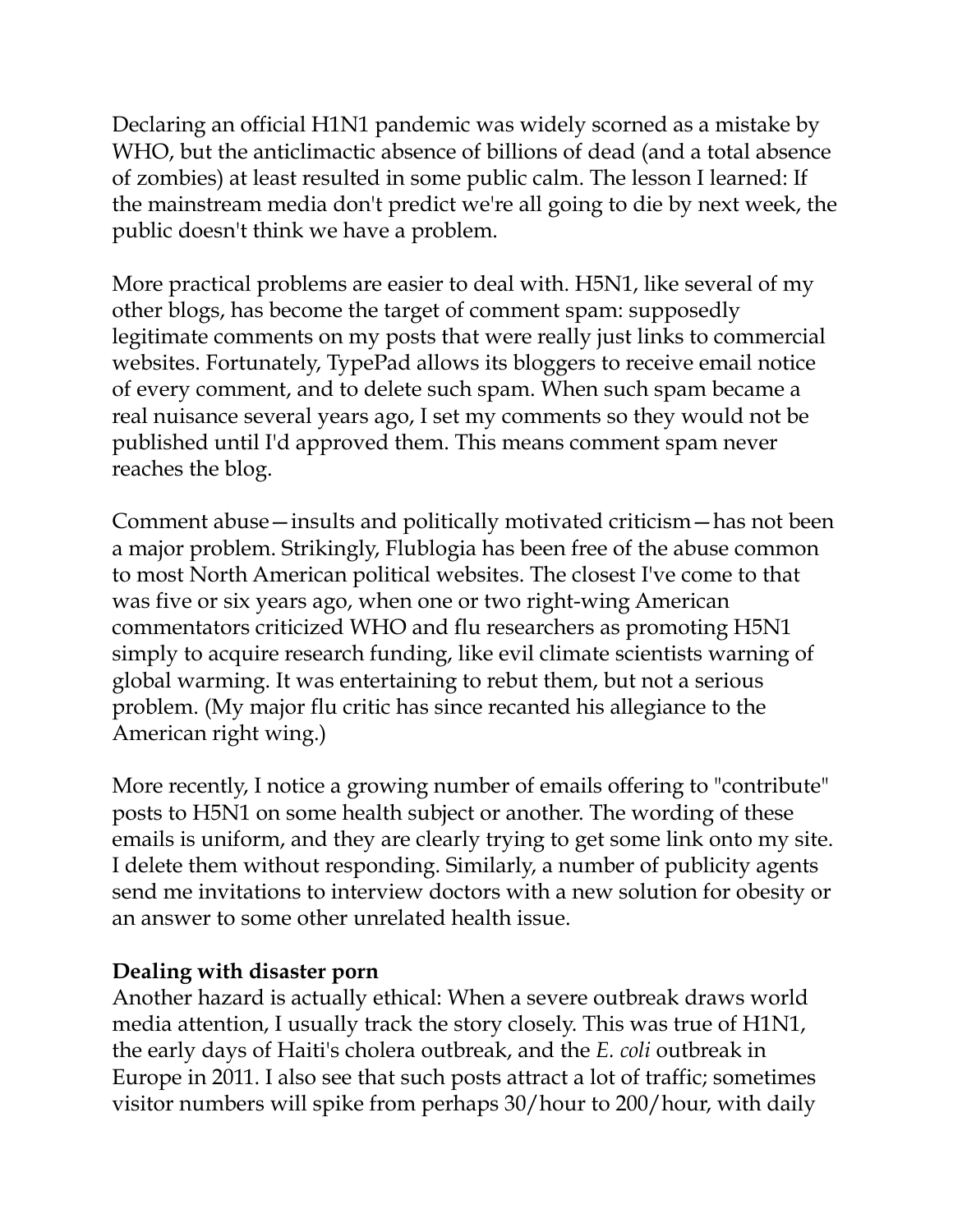Declaring an official H1N1 pandemic was widely scorned as a mistake by WHO, but the anticlimactic absence of billions of dead (and a total absence of zombies) at least resulted in some public calm. The lesson I learned: If the mainstream media don't predict we're all going to die by next week, the public doesn't think we have a problem.

More practical problems are easier to deal with. H5N1, like several of my other blogs, has become the target of comment spam: supposedly legitimate comments on my posts that were really just links to commercial websites. Fortunately, TypePad allows its bloggers to receive email notice of every comment, and to delete such spam. When such spam became a real nuisance several years ago, I set my comments so they would not be published until I'd approved them. This means comment spam never reaches the blog.

Comment abuse—insults and politically motivated criticism—has not been a major problem. Strikingly, Flublogia has been free of the abuse common to most North American political websites. The closest I've come to that was five or six years ago, when one or two right-wing American commentators criticized WHO and flu researchers as promoting H5N1 simply to acquire research funding, like evil climate scientists warning of global warming. It was entertaining to rebut them, but not a serious problem. (My major flu critic has since recanted his allegiance to the American right wing.)

More recently, I notice a growing number of emails offering to "contribute" posts to H5N1 on some health subject or another. The wording of these emails is uniform, and they are clearly trying to get some link onto my site. I delete them without responding. Similarly, a number of publicity agents send me invitations to interview doctors with a new solution for obesity or an answer to some other unrelated health issue.

# **Dealing with disaster porn**

Another hazard is actually ethical: When a severe outbreak draws world media attention, I usually track the story closely. This was true of H1N1, the early days of Haiti's cholera outbreak, and the *E. coli* outbreak in Europe in 2011. I also see that such posts attract a lot of traffic; sometimes visitor numbers will spike from perhaps 30/hour to 200/hour, with daily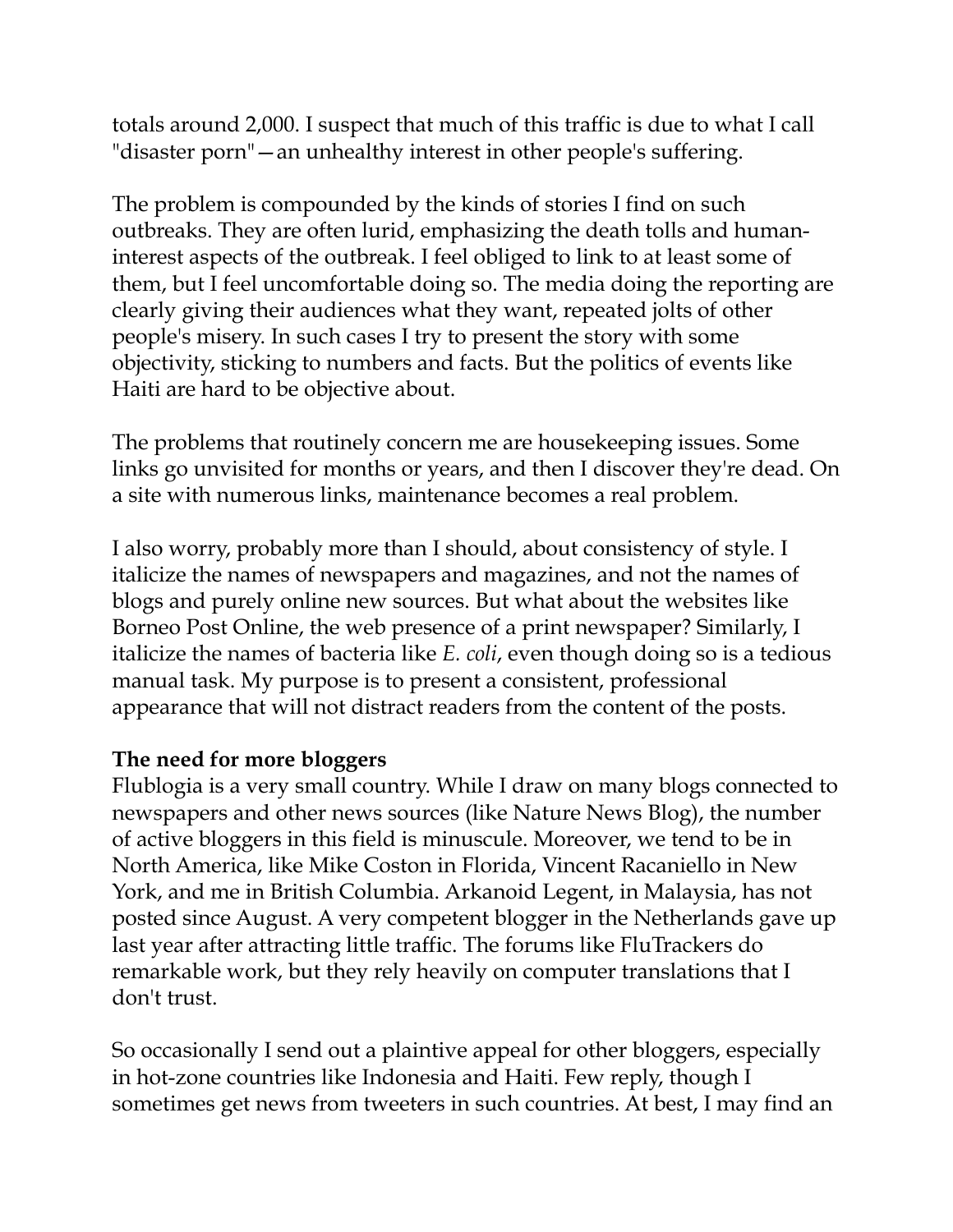totals around 2,000. I suspect that much of this traffic is due to what I call "disaster porn"—an unhealthy interest in other people's suffering.

The problem is compounded by the kinds of stories I find on such outbreaks. They are often lurid, emphasizing the death tolls and humaninterest aspects of the outbreak. I feel obliged to link to at least some of them, but I feel uncomfortable doing so. The media doing the reporting are clearly giving their audiences what they want, repeated jolts of other people's misery. In such cases I try to present the story with some objectivity, sticking to numbers and facts. But the politics of events like Haiti are hard to be objective about.

The problems that routinely concern me are housekeeping issues. Some links go unvisited for months or years, and then I discover they're dead. On a site with numerous links, maintenance becomes a real problem.

I also worry, probably more than I should, about consistency of style. I italicize the names of newspapers and magazines, and not the names of blogs and purely online new sources. But what about the websites like Borneo Post Online, the web presence of a print newspaper? Similarly, I italicize the names of bacteria like *E. coli*, even though doing so is a tedious manual task. My purpose is to present a consistent, professional appearance that will not distract readers from the content of the posts.

# **The need for more bloggers**

Flublogia is a very small country. While I draw on many blogs connected to newspapers and other news sources (like Nature News Blog), the number of active bloggers in this field is minuscule. Moreover, we tend to be in North America, like Mike Coston in Florida, Vincent Racaniello in New York, and me in British Columbia. Arkanoid Legent, in Malaysia, has not posted since August. A very competent blogger in the Netherlands gave up last year after attracting little traffic. The forums like FluTrackers do remarkable work, but they rely heavily on computer translations that I don't trust.

So occasionally I send out a plaintive appeal for other bloggers, especially in hot-zone countries like Indonesia and Haiti. Few reply, though I sometimes get news from tweeters in such countries. At best, I may find an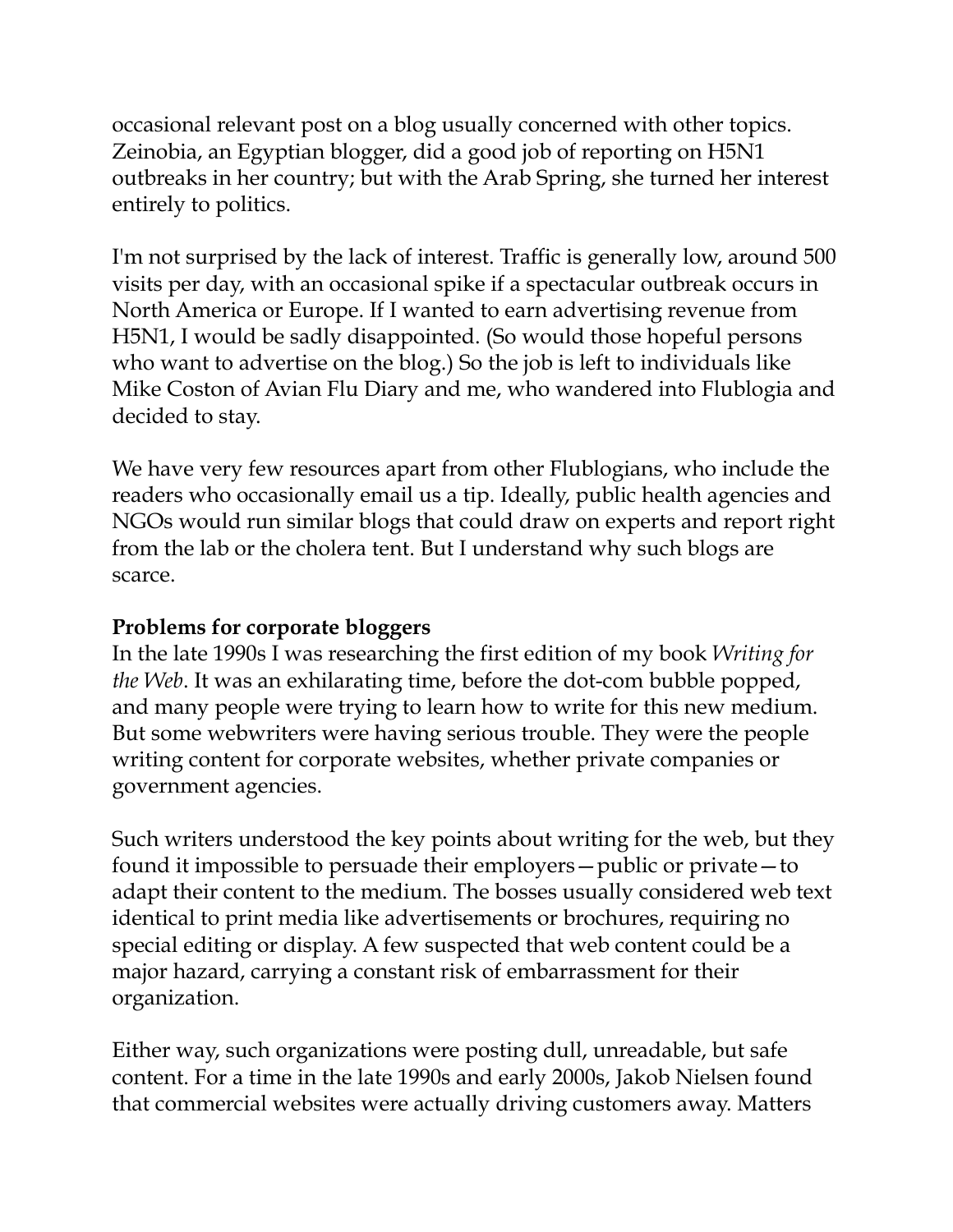occasional relevant post on a blog usually concerned with other topics. Zeinobia, an Egyptian blogger, did a good job of reporting on H5N1 outbreaks in her country; but with the Arab Spring, she turned her interest entirely to politics.

I'm not surprised by the lack of interest. Traffic is generally low, around 500 visits per day, with an occasional spike if a spectacular outbreak occurs in North America or Europe. If I wanted to earn advertising revenue from H5N1, I would be sadly disappointed. (So would those hopeful persons who want to advertise on the blog.) So the job is left to individuals like Mike Coston of Avian Flu Diary and me, who wandered into Flublogia and decided to stay.

We have very few resources apart from other Flublogians, who include the readers who occasionally email us a tip. Ideally, public health agencies and NGOs would run similar blogs that could draw on experts and report right from the lab or the cholera tent. But I understand why such blogs are scarce.

# **Problems for corporate bloggers**

In the late 1990s I was researching the first edition of my book *Writing for the Web*. It was an exhilarating time, before the dot-com bubble popped, and many people were trying to learn how to write for this new medium. But some webwriters were having serious trouble. They were the people writing content for corporate websites, whether private companies or government agencies.

Such writers understood the key points about writing for the web, but they found it impossible to persuade their employers—public or private—to adapt their content to the medium. The bosses usually considered web text identical to print media like advertisements or brochures, requiring no special editing or display. A few suspected that web content could be a major hazard, carrying a constant risk of embarrassment for their organization.

Either way, such organizations were posting dull, unreadable, but safe content. For a time in the late 1990s and early 2000s, Jakob Nielsen found that commercial websites were actually driving customers away. Matters